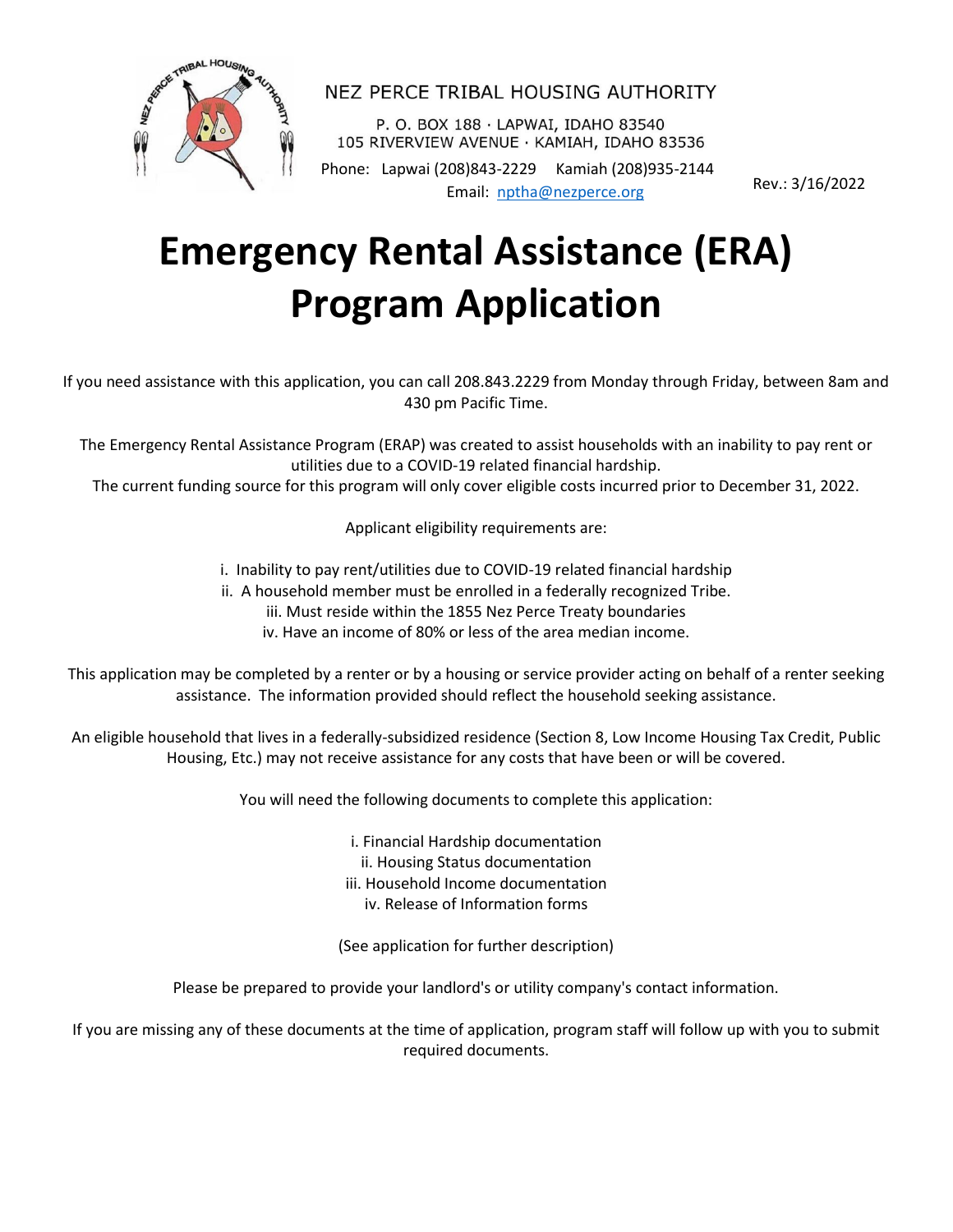

NEZ PERCE TRIBAL HOUSING AUTHORITY

P. O. BOX 188 · LAPWAI, IDAHO 83540 105 RIVERVIEW AVENUE · KAMIAH, IDAHO 83536

Phone: Lapwai (208)843-2229 Kamiah (208)935-2144 Email: [nptha@nezperce.org](mailto:nptha@nezperce.org) Rev.: 3/16/202<sup>2</sup>

# **Emergency Rental Assistance (ERA) Program Application**

If you need assistance with this application, you can call 208.843.2229 from Monday through Friday, between 8am and 430 pm Pacific Time.

The Emergency Rental Assistance Program (ERAP) was created to assist households with an inability to pay rent or utilities due to a COVID-19 related financial hardship.

The current funding source for this program will only cover eligible costs incurred prior to December 31, 2022.

Applicant eligibility requirements are:

i. Inability to pay rent/utilities due to COVID-19 related financial hardship

ii. A household member must be enrolled in a federally recognized Tribe.

iii. Must reside within the 1855 Nez Perce Treaty boundaries

iv. Have an income of 80% or less of the area median income.

This application may be completed by a renter or by a housing or service provider acting on behalf of a renter seeking assistance. The information provided should reflect the household seeking assistance.

An eligible household that lives in a federally-subsidized residence (Section 8, Low Income Housing Tax Credit, Public Housing, Etc.) may not receive assistance for any costs that have been or will be covered.

You will need the following documents to complete this application:

i. Financial Hardship documentation ii. Housing Status documentation iii. Household Income documentation iv. Release of Information forms

(See application for further description)

Please be prepared to provide your landlord's or utility company's contact information.

If you are missing any of these documents at the time of application, program staff will follow up with you to submit required documents.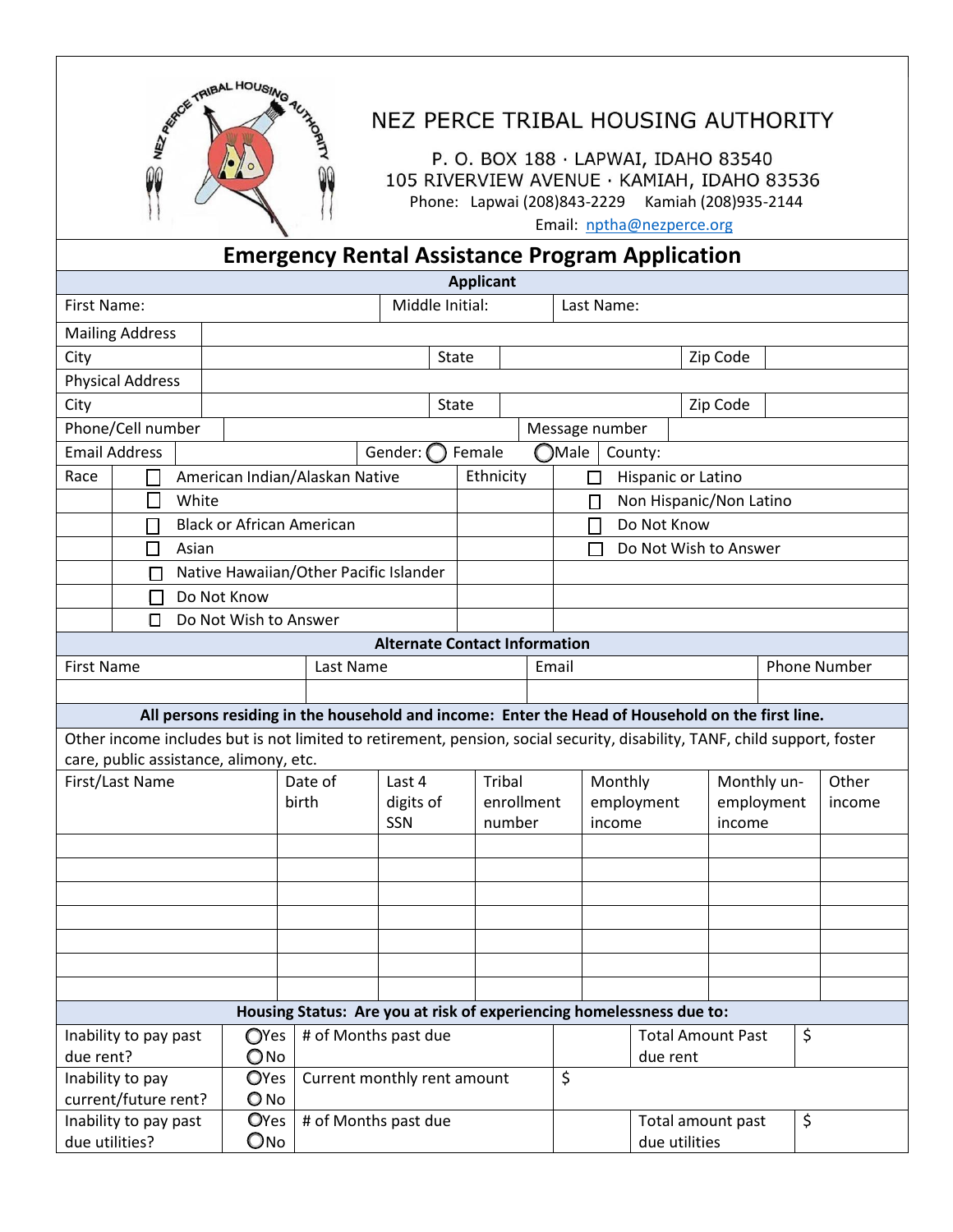

### NEZ PERCE TRIBAL HOUSING AUTHORITY

P. O. BOX 188 · LAPWAI, IDAHO 83540 105 RIVERVIEW AVENUE · KAMIAH, IDAHO 83536 Phone: Lapwai (208)843-2229 Kamiah (208)935-2144 Email: [nptha@nezperce.org](mailto:nptha@nezperce.org)

| <b>Emergency Rental Assistance Program Application</b> |  |                 |  |            |          |  |  |  |
|--------------------------------------------------------|--|-----------------|--|------------|----------|--|--|--|
| <b>Applicant</b>                                       |  |                 |  |            |          |  |  |  |
| First Name:                                            |  | Middle Initial: |  | Last Name: |          |  |  |  |
| <b>Mailing Address</b>                                 |  |                 |  |            |          |  |  |  |
| City                                                   |  | State           |  |            | Zip Code |  |  |  |
| Dhamata a Lindhua a a                                  |  |                 |  |            |          |  |  |  |

| <b>Physical Address</b>                                                                                                   |                                                                      |                                        |                                                                                                  |               |                                 |                              |                       |                          |             |                     |
|---------------------------------------------------------------------------------------------------------------------------|----------------------------------------------------------------------|----------------------------------------|--------------------------------------------------------------------------------------------------|---------------|---------------------------------|------------------------------|-----------------------|--------------------------|-------------|---------------------|
| City                                                                                                                      |                                                                      |                                        |                                                                                                  | <b>State</b>  |                                 |                              |                       | Zip Code                 |             |                     |
| Phone/Cell number                                                                                                         |                                                                      |                                        |                                                                                                  |               |                                 | Message number               |                       |                          |             |                     |
| <b>Email Address</b><br>$\bigcap$ Male<br>Female<br>Gender: $\bigcap$<br>County:                                          |                                                                      |                                        |                                                                                                  |               |                                 |                              |                       |                          |             |                     |
| Race                                                                                                                      |                                                                      | American Indian/Alaskan Native         |                                                                                                  |               | Ethnicity<br>Hispanic or Latino |                              |                       |                          |             |                     |
| $\Box$<br>White                                                                                                           |                                                                      |                                        |                                                                                                  |               |                                 | Non Hispanic/Non Latino<br>П |                       |                          |             |                     |
|                                                                                                                           | <b>Black or African American</b>                                     |                                        |                                                                                                  |               |                                 | Do Not Know                  |                       |                          |             |                     |
| П<br>Asian                                                                                                                |                                                                      |                                        |                                                                                                  |               |                                 |                              | Do Not Wish to Answer |                          |             |                     |
| П                                                                                                                         |                                                                      | Native Hawaiian/Other Pacific Islander |                                                                                                  |               |                                 |                              |                       |                          |             |                     |
|                                                                                                                           | Do Not Know                                                          |                                        |                                                                                                  |               |                                 |                              |                       |                          |             |                     |
| $\Box$                                                                                                                    | Do Not Wish to Answer                                                |                                        |                                                                                                  |               |                                 |                              |                       |                          |             |                     |
|                                                                                                                           |                                                                      |                                        | <b>Alternate Contact Information</b>                                                             |               |                                 |                              |                       |                          |             |                     |
| <b>First Name</b>                                                                                                         |                                                                      | Last Name                              |                                                                                                  |               | Email                           |                              |                       |                          |             | <b>Phone Number</b> |
|                                                                                                                           |                                                                      |                                        |                                                                                                  |               |                                 |                              |                       |                          |             |                     |
|                                                                                                                           |                                                                      |                                        | All persons residing in the household and income: Enter the Head of Household on the first line. |               |                                 |                              |                       |                          |             |                     |
| Other income includes but is not limited to retirement, pension, social security, disability, TANF, child support, foster |                                                                      |                                        |                                                                                                  |               |                                 |                              |                       |                          |             |                     |
| care, public assistance, alimony, etc.                                                                                    |                                                                      |                                        |                                                                                                  |               |                                 |                              |                       |                          |             |                     |
| First/Last Name                                                                                                           |                                                                      | Date of                                | Last 4                                                                                           | <b>Tribal</b> |                                 | Monthly                      |                       |                          | Monthly un- | Other               |
|                                                                                                                           |                                                                      | birth                                  | digits of<br>SSN                                                                                 |               | enrollment                      | employment<br>income         |                       | income                   | employment  | income              |
|                                                                                                                           |                                                                      |                                        |                                                                                                  | number        |                                 |                              |                       |                          |             |                     |
|                                                                                                                           |                                                                      |                                        |                                                                                                  |               |                                 |                              |                       |                          |             |                     |
|                                                                                                                           |                                                                      |                                        |                                                                                                  |               |                                 |                              |                       |                          |             |                     |
|                                                                                                                           |                                                                      |                                        |                                                                                                  |               |                                 |                              |                       |                          |             |                     |
|                                                                                                                           |                                                                      |                                        |                                                                                                  |               |                                 |                              |                       |                          |             |                     |
|                                                                                                                           |                                                                      |                                        |                                                                                                  |               |                                 |                              |                       |                          |             |                     |
|                                                                                                                           |                                                                      |                                        |                                                                                                  |               |                                 |                              |                       |                          |             |                     |
|                                                                                                                           | Housing Status: Are you at risk of experiencing homelessness due to: |                                        |                                                                                                  |               |                                 |                              |                       |                          |             |                     |
| Inability to pay past                                                                                                     | OYes                                                                 |                                        | # of Months past due                                                                             |               |                                 |                              |                       | <b>Total Amount Past</b> | \$          |                     |
| due rent?                                                                                                                 | $\bigcirc$ No                                                        |                                        |                                                                                                  |               |                                 |                              | due rent              |                          |             |                     |
| Inability to pay                                                                                                          | <b>O</b> Yes                                                         |                                        | Current monthly rent amount                                                                      |               |                                 | $\overline{\mathcal{S}}$     |                       |                          |             |                     |
| current/future rent?                                                                                                      | $\bigcirc$ No                                                        |                                        |                                                                                                  |               |                                 |                              |                       |                          |             |                     |
| Inability to pay past                                                                                                     |                                                                      | <b>O</b> Yes<br># of Months past due   |                                                                                                  |               |                                 |                              |                       | Total amount past        | \$          |                     |
| due utilities?                                                                                                            | Ono                                                                  |                                        |                                                                                                  |               |                                 | due utilities                |                       |                          |             |                     |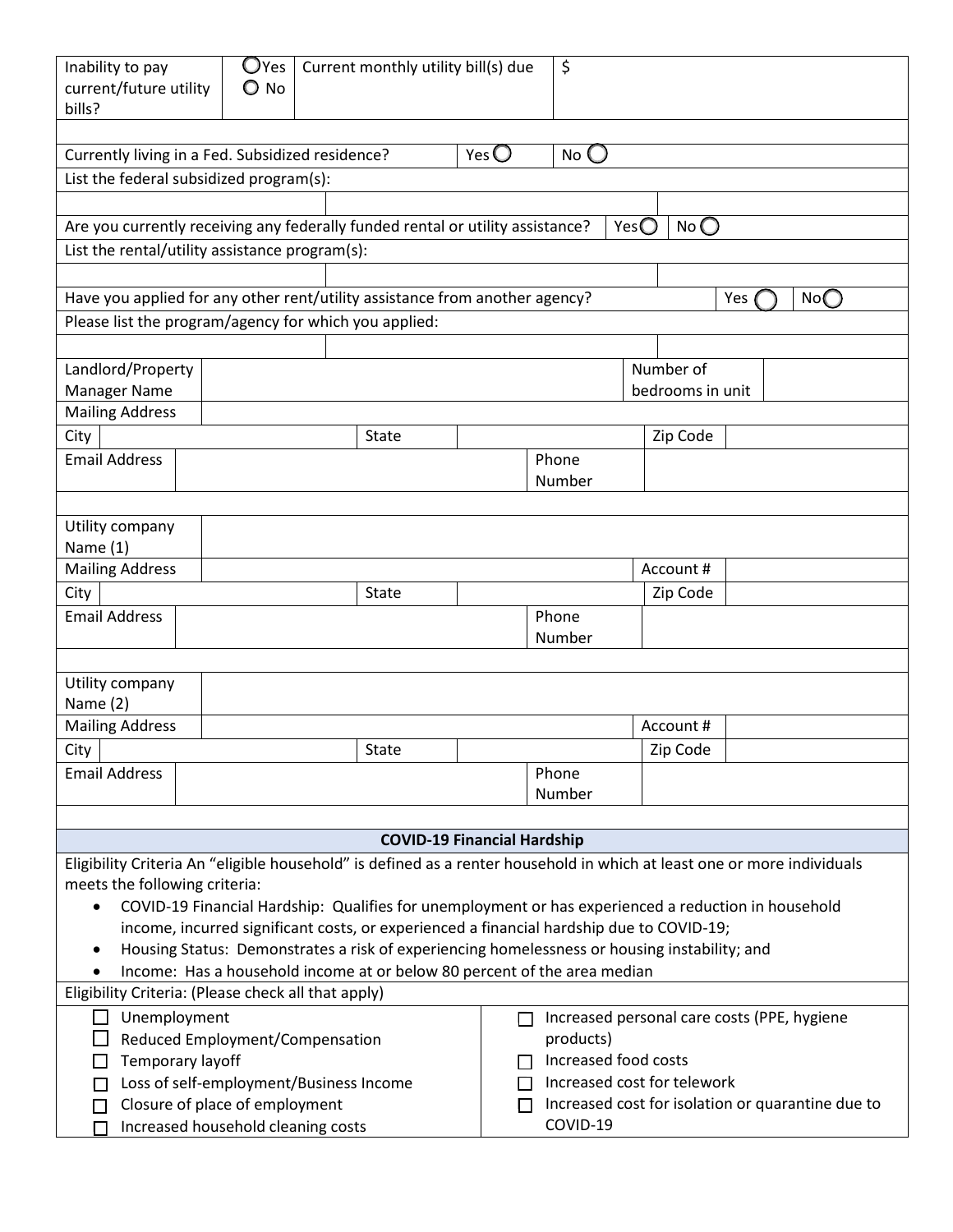| Inability to pay<br>current/future utility<br>bills?                                                                    | $\mathbf{O}$ Yes<br>$\bigcirc$ No       | Current monthly utility bill(s) due                                                                 |                | \$                                                       |                             |                                                   |  |  |  |
|-------------------------------------------------------------------------------------------------------------------------|-----------------------------------------|-----------------------------------------------------------------------------------------------------|----------------|----------------------------------------------------------|-----------------------------|---------------------------------------------------|--|--|--|
|                                                                                                                         |                                         |                                                                                                     | Yes $\bigcirc$ |                                                          |                             |                                                   |  |  |  |
| Currently living in a Fed. Subsidized residence?<br>No $\mathbb C$<br>List the federal subsidized program(s):           |                                         |                                                                                                     |                |                                                          |                             |                                                   |  |  |  |
|                                                                                                                         |                                         |                                                                                                     |                |                                                          |                             |                                                   |  |  |  |
| No<br>Are you currently receiving any federally funded rental or utility assistance?<br>Yes $\bigcirc$                  |                                         |                                                                                                     |                |                                                          |                             |                                                   |  |  |  |
| List the rental/utility assistance program(s):                                                                          |                                         |                                                                                                     |                |                                                          |                             |                                                   |  |  |  |
|                                                                                                                         |                                         |                                                                                                     |                |                                                          |                             |                                                   |  |  |  |
| Have you applied for any other rent/utility assistance from another agency?<br>Yes<br>No                                |                                         |                                                                                                     |                |                                                          |                             |                                                   |  |  |  |
| Please list the program/agency for which you applied:                                                                   |                                         |                                                                                                     |                |                                                          |                             |                                                   |  |  |  |
|                                                                                                                         |                                         |                                                                                                     |                |                                                          |                             |                                                   |  |  |  |
| Landlord/Property                                                                                                       |                                         |                                                                                                     |                |                                                          | Number of                   |                                                   |  |  |  |
| Manager Name                                                                                                            |                                         |                                                                                                     |                |                                                          | bedrooms in unit            |                                                   |  |  |  |
| <b>Mailing Address</b>                                                                                                  |                                         |                                                                                                     |                |                                                          |                             |                                                   |  |  |  |
| City                                                                                                                    |                                         | <b>State</b>                                                                                        |                |                                                          | Zip Code                    |                                                   |  |  |  |
| <b>Email Address</b>                                                                                                    |                                         |                                                                                                     |                | Phone                                                    |                             |                                                   |  |  |  |
|                                                                                                                         |                                         |                                                                                                     |                | Number                                                   |                             |                                                   |  |  |  |
|                                                                                                                         |                                         |                                                                                                     |                |                                                          |                             |                                                   |  |  |  |
| Utility company<br>Name (1)                                                                                             |                                         |                                                                                                     |                |                                                          |                             |                                                   |  |  |  |
| <b>Mailing Address</b>                                                                                                  |                                         |                                                                                                     |                |                                                          | Account#                    |                                                   |  |  |  |
| City                                                                                                                    |                                         | State                                                                                               |                |                                                          | Zip Code                    |                                                   |  |  |  |
| <b>Email Address</b>                                                                                                    |                                         |                                                                                                     |                | Phone                                                    |                             |                                                   |  |  |  |
| Number                                                                                                                  |                                         |                                                                                                     |                |                                                          |                             |                                                   |  |  |  |
|                                                                                                                         |                                         |                                                                                                     |                |                                                          |                             |                                                   |  |  |  |
| Utility company                                                                                                         |                                         |                                                                                                     |                |                                                          |                             |                                                   |  |  |  |
| Name (2)                                                                                                                |                                         |                                                                                                     |                |                                                          |                             |                                                   |  |  |  |
| <b>Mailing Address</b>                                                                                                  |                                         |                                                                                                     |                |                                                          | Account #                   |                                                   |  |  |  |
| City                                                                                                                    |                                         | State                                                                                               |                |                                                          | Zip Code                    |                                                   |  |  |  |
| <b>Email Address</b>                                                                                                    |                                         |                                                                                                     |                | Phone                                                    |                             |                                                   |  |  |  |
|                                                                                                                         |                                         |                                                                                                     |                | Number                                                   |                             |                                                   |  |  |  |
|                                                                                                                         |                                         | <b>COVID-19 Financial Hardship</b>                                                                  |                |                                                          |                             |                                                   |  |  |  |
| Eligibility Criteria An "eligible household" is defined as a renter household in which at least one or more individuals |                                         |                                                                                                     |                |                                                          |                             |                                                   |  |  |  |
| meets the following criteria:                                                                                           |                                         |                                                                                                     |                |                                                          |                             |                                                   |  |  |  |
| $\bullet$                                                                                                               |                                         | COVID-19 Financial Hardship: Qualifies for unemployment or has experienced a reduction in household |                |                                                          |                             |                                                   |  |  |  |
|                                                                                                                         |                                         | income, incurred significant costs, or experienced a financial hardship due to COVID-19;            |                |                                                          |                             |                                                   |  |  |  |
|                                                                                                                         |                                         | Housing Status: Demonstrates a risk of experiencing homelessness or housing instability; and        |                |                                                          |                             |                                                   |  |  |  |
|                                                                                                                         |                                         | Income: Has a household income at or below 80 percent of the area median                            |                |                                                          |                             |                                                   |  |  |  |
| Eligibility Criteria: (Please check all that apply)                                                                     |                                         |                                                                                                     |                |                                                          |                             |                                                   |  |  |  |
| Unemployment                                                                                                            |                                         |                                                                                                     |                |                                                          |                             |                                                   |  |  |  |
|                                                                                                                         | Reduced Employment/Compensation         |                                                                                                     |                | Increased personal care costs (PPE, hygiene<br>products) |                             |                                                   |  |  |  |
| Temporary layoff                                                                                                        |                                         |                                                                                                     |                | Increased food costs                                     |                             |                                                   |  |  |  |
|                                                                                                                         | Loss of self-employment/Business Income |                                                                                                     |                |                                                          | Increased cost for telework |                                                   |  |  |  |
|                                                                                                                         |                                         |                                                                                                     |                |                                                          |                             | Increased cost for isolation or quarantine due to |  |  |  |
| Closure of place of employment<br>$\perp$<br>COVID-19<br>Increased household cleaning costs                             |                                         |                                                                                                     |                |                                                          |                             |                                                   |  |  |  |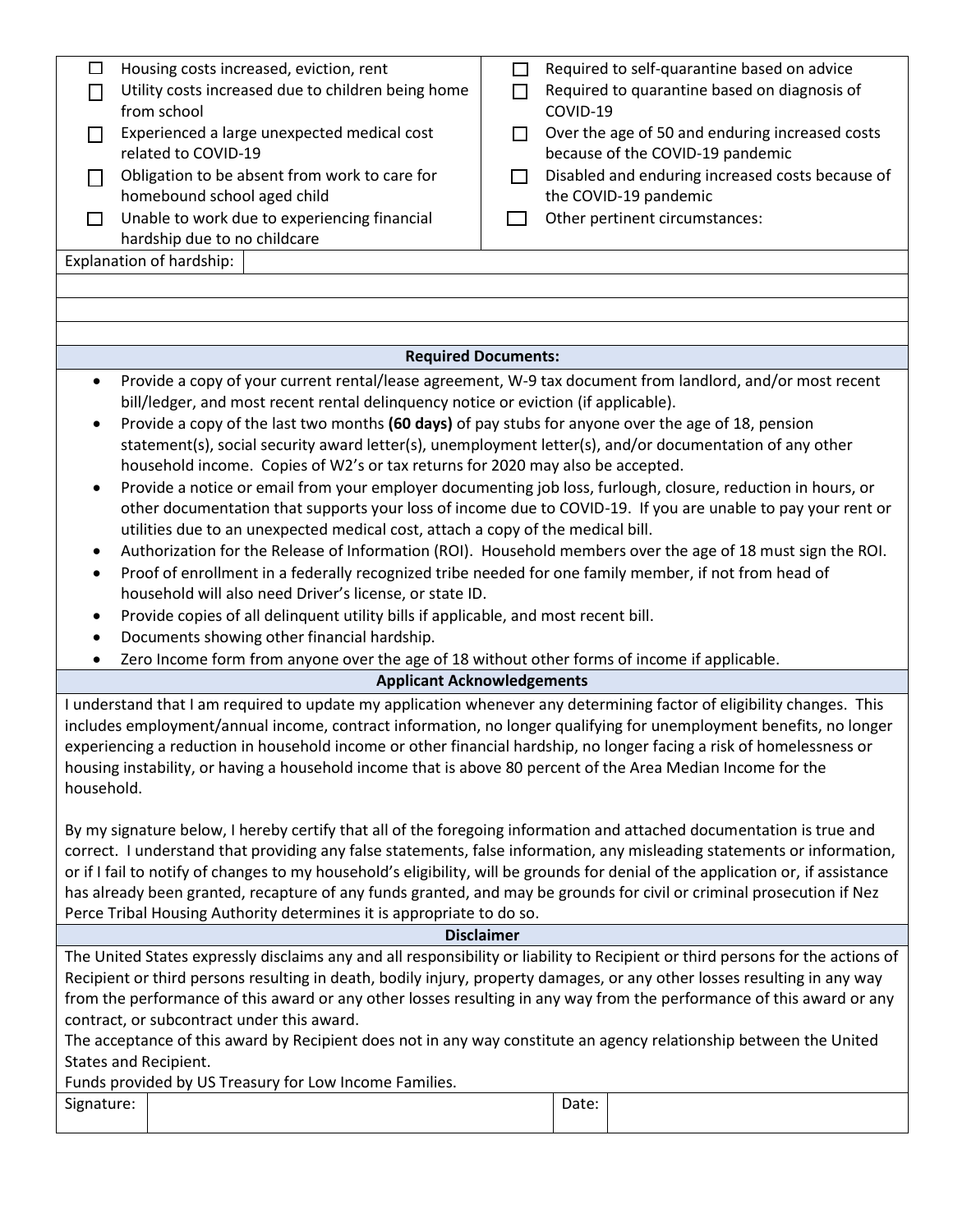| □<br>П<br>□                                                                                                                                                                                                                                                                                                                                                                                                                                                                                                                                                                           | Housing costs increased, eviction, rent<br>Utility costs increased due to children being home<br>from school<br>Experienced a large unexpected medical cost<br>related to COVID-19                                                                                                                                                                                                                                                                                                                                                                                               | $\Box$<br>□<br>$\Box$      | Required to self-quarantine based on advice<br>Required to quarantine based on diagnosis of<br>COVID-19<br>Over the age of 50 and enduring increased costs<br>because of the COVID-19 pandemic |                                                  |  |  |  |  |  |  |
|---------------------------------------------------------------------------------------------------------------------------------------------------------------------------------------------------------------------------------------------------------------------------------------------------------------------------------------------------------------------------------------------------------------------------------------------------------------------------------------------------------------------------------------------------------------------------------------|----------------------------------------------------------------------------------------------------------------------------------------------------------------------------------------------------------------------------------------------------------------------------------------------------------------------------------------------------------------------------------------------------------------------------------------------------------------------------------------------------------------------------------------------------------------------------------|----------------------------|------------------------------------------------------------------------------------------------------------------------------------------------------------------------------------------------|--------------------------------------------------|--|--|--|--|--|--|
| $\Box$                                                                                                                                                                                                                                                                                                                                                                                                                                                                                                                                                                                | Obligation to be absent from work to care for<br>homebound school aged child                                                                                                                                                                                                                                                                                                                                                                                                                                                                                                     | $\mathsf{L}$               | the COVID-19 pandemic                                                                                                                                                                          | Disabled and enduring increased costs because of |  |  |  |  |  |  |
| $\Box$                                                                                                                                                                                                                                                                                                                                                                                                                                                                                                                                                                                | Unable to work due to experiencing financial<br>hardship due to no childcare                                                                                                                                                                                                                                                                                                                                                                                                                                                                                                     |                            | Other pertinent circumstances:                                                                                                                                                                 |                                                  |  |  |  |  |  |  |
|                                                                                                                                                                                                                                                                                                                                                                                                                                                                                                                                                                                       | Explanation of hardship:                                                                                                                                                                                                                                                                                                                                                                                                                                                                                                                                                         |                            |                                                                                                                                                                                                |                                                  |  |  |  |  |  |  |
|                                                                                                                                                                                                                                                                                                                                                                                                                                                                                                                                                                                       |                                                                                                                                                                                                                                                                                                                                                                                                                                                                                                                                                                                  |                            |                                                                                                                                                                                                |                                                  |  |  |  |  |  |  |
|                                                                                                                                                                                                                                                                                                                                                                                                                                                                                                                                                                                       |                                                                                                                                                                                                                                                                                                                                                                                                                                                                                                                                                                                  |                            |                                                                                                                                                                                                |                                                  |  |  |  |  |  |  |
|                                                                                                                                                                                                                                                                                                                                                                                                                                                                                                                                                                                       |                                                                                                                                                                                                                                                                                                                                                                                                                                                                                                                                                                                  | <b>Required Documents:</b> |                                                                                                                                                                                                |                                                  |  |  |  |  |  |  |
| $\bullet$                                                                                                                                                                                                                                                                                                                                                                                                                                                                                                                                                                             | Provide a copy of your current rental/lease agreement, W-9 tax document from landlord, and/or most recent<br>bill/ledger, and most recent rental delinquency notice or eviction (if applicable).<br>Provide a copy of the last two months (60 days) of pay stubs for anyone over the age of 18, pension                                                                                                                                                                                                                                                                          |                            |                                                                                                                                                                                                |                                                  |  |  |  |  |  |  |
| $\bullet$                                                                                                                                                                                                                                                                                                                                                                                                                                                                                                                                                                             | statement(s), social security award letter(s), unemployment letter(s), and/or documentation of any other<br>household income. Copies of W2's or tax returns for 2020 may also be accepted.                                                                                                                                                                                                                                                                                                                                                                                       |                            |                                                                                                                                                                                                |                                                  |  |  |  |  |  |  |
| $\bullet$                                                                                                                                                                                                                                                                                                                                                                                                                                                                                                                                                                             | Provide a notice or email from your employer documenting job loss, furlough, closure, reduction in hours, or                                                                                                                                                                                                                                                                                                                                                                                                                                                                     |                            |                                                                                                                                                                                                |                                                  |  |  |  |  |  |  |
|                                                                                                                                                                                                                                                                                                                                                                                                                                                                                                                                                                                       | other documentation that supports your loss of income due to COVID-19. If you are unable to pay your rent or                                                                                                                                                                                                                                                                                                                                                                                                                                                                     |                            |                                                                                                                                                                                                |                                                  |  |  |  |  |  |  |
|                                                                                                                                                                                                                                                                                                                                                                                                                                                                                                                                                                                       | utilities due to an unexpected medical cost, attach a copy of the medical bill.                                                                                                                                                                                                                                                                                                                                                                                                                                                                                                  |                            |                                                                                                                                                                                                |                                                  |  |  |  |  |  |  |
| ٠                                                                                                                                                                                                                                                                                                                                                                                                                                                                                                                                                                                     | Authorization for the Release of Information (ROI). Household members over the age of 18 must sign the ROI.                                                                                                                                                                                                                                                                                                                                                                                                                                                                      |                            |                                                                                                                                                                                                |                                                  |  |  |  |  |  |  |
| $\bullet$                                                                                                                                                                                                                                                                                                                                                                                                                                                                                                                                                                             | Proof of enrollment in a federally recognized tribe needed for one family member, if not from head of<br>household will also need Driver's license, or state ID.                                                                                                                                                                                                                                                                                                                                                                                                                 |                            |                                                                                                                                                                                                |                                                  |  |  |  |  |  |  |
| ٠                                                                                                                                                                                                                                                                                                                                                                                                                                                                                                                                                                                     | Provide copies of all delinquent utility bills if applicable, and most recent bill.                                                                                                                                                                                                                                                                                                                                                                                                                                                                                              |                            |                                                                                                                                                                                                |                                                  |  |  |  |  |  |  |
| $\bullet$                                                                                                                                                                                                                                                                                                                                                                                                                                                                                                                                                                             | Documents showing other financial hardship.                                                                                                                                                                                                                                                                                                                                                                                                                                                                                                                                      |                            |                                                                                                                                                                                                |                                                  |  |  |  |  |  |  |
| ٠                                                                                                                                                                                                                                                                                                                                                                                                                                                                                                                                                                                     | Zero Income form from anyone over the age of 18 without other forms of income if applicable.                                                                                                                                                                                                                                                                                                                                                                                                                                                                                     |                            |                                                                                                                                                                                                |                                                  |  |  |  |  |  |  |
|                                                                                                                                                                                                                                                                                                                                                                                                                                                                                                                                                                                       | <b>Applicant Acknowledgements</b>                                                                                                                                                                                                                                                                                                                                                                                                                                                                                                                                                |                            |                                                                                                                                                                                                |                                                  |  |  |  |  |  |  |
|                                                                                                                                                                                                                                                                                                                                                                                                                                                                                                                                                                                       | I understand that I am required to update my application whenever any determining factor of eligibility changes. This<br>includes employment/annual income, contract information, no longer qualifying for unemployment benefits, no longer<br>experiencing a reduction in household income or other financial hardship, no longer facing a risk of homelessness or<br>housing instability, or having a household income that is above 80 percent of the Area Median Income for the<br>household.                                                                                |                            |                                                                                                                                                                                                |                                                  |  |  |  |  |  |  |
| By my signature below, I hereby certify that all of the foregoing information and attached documentation is true and<br>correct. I understand that providing any false statements, false information, any misleading statements or information,<br>or if I fail to notify of changes to my household's eligibility, will be grounds for denial of the application or, if assistance<br>has already been granted, recapture of any funds granted, and may be grounds for civil or criminal prosecution if Nez<br>Perce Tribal Housing Authority determines it is appropriate to do so. |                                                                                                                                                                                                                                                                                                                                                                                                                                                                                                                                                                                  |                            |                                                                                                                                                                                                |                                                  |  |  |  |  |  |  |
|                                                                                                                                                                                                                                                                                                                                                                                                                                                                                                                                                                                       |                                                                                                                                                                                                                                                                                                                                                                                                                                                                                                                                                                                  | <b>Disclaimer</b>          |                                                                                                                                                                                                |                                                  |  |  |  |  |  |  |
|                                                                                                                                                                                                                                                                                                                                                                                                                                                                                                                                                                                       | The United States expressly disclaims any and all responsibility or liability to Recipient or third persons for the actions of<br>Recipient or third persons resulting in death, bodily injury, property damages, or any other losses resulting in any way<br>from the performance of this award or any other losses resulting in any way from the performance of this award or any<br>contract, or subcontract under this award.<br>The acceptance of this award by Recipient does not in any way constitute an agency relationship between the United<br>States and Recipient. |                            |                                                                                                                                                                                                |                                                  |  |  |  |  |  |  |
| Signature:                                                                                                                                                                                                                                                                                                                                                                                                                                                                                                                                                                            | Funds provided by US Treasury for Low Income Families.                                                                                                                                                                                                                                                                                                                                                                                                                                                                                                                           |                            | Date:                                                                                                                                                                                          |                                                  |  |  |  |  |  |  |
|                                                                                                                                                                                                                                                                                                                                                                                                                                                                                                                                                                                       |                                                                                                                                                                                                                                                                                                                                                                                                                                                                                                                                                                                  |                            |                                                                                                                                                                                                |                                                  |  |  |  |  |  |  |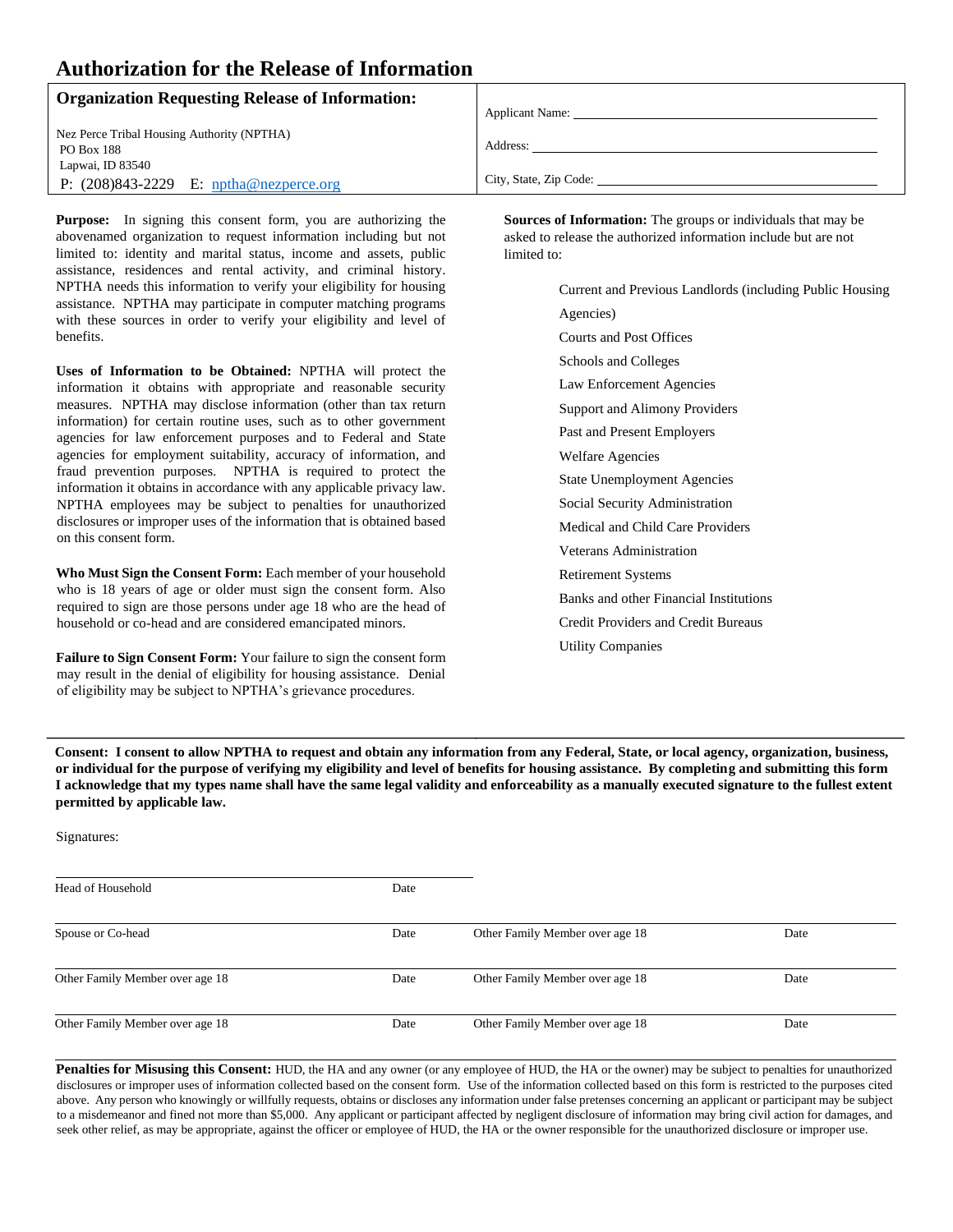#### **Authorization for the Release of Information**

| <b>Organization Requesting Release of Information:</b> |                        |
|--------------------------------------------------------|------------------------|
|                                                        | <b>Applicant Name:</b> |
| Nez Perce Tribal Housing Authority (NPTHA)             |                        |
| <b>PO Box 188</b>                                      | Address:               |
| Lapwai, ID 83540                                       |                        |
| P: $(208)843-2229$ E: $nptha@nezperce.org$             | City, State, Zip Code: |
|                                                        |                        |

**Purpose:** In signing this consent form, you are authorizing the abovenamed organization to request information including but not limited to: identity and marital status, income and assets, public assistance, residences and rental activity, and criminal history. NPTHA needs this information to verify your eligibility for housing assistance. NPTHA may participate in computer matching programs with these sources in order to verify your eligibility and level of benefits.

**Uses of Information to be Obtained:** NPTHA will protect the information it obtains with appropriate and reasonable security measures. NPTHA may disclose information (other than tax return information) for certain routine uses, such as to other government agencies for law enforcement purposes and to Federal and State agencies for employment suitability, accuracy of information, and fraud prevention purposes. NPTHA is required to protect the information it obtains in accordance with any applicable privacy law. NPTHA employees may be subject to penalties for unauthorized disclosures or improper uses of the information that is obtained based on this consent form.

**Who Must Sign the Consent Form:** Each member of your household who is 18 years of age or older must sign the consent form. Also required to sign are those persons under age 18 who are the head of household or co-head and are considered emancipated minors.

**Failure to Sign Consent Form:** Your failure to sign the consent form may result in the denial of eligibility for housing assistance. Denial of eligibility may be subject to NPTHA's grievance procedures.

**Sources of Information:** The groups or individuals that may be asked to release the authorized information include but are not limited to:

> Current and Previous Landlords (including Public Housing Agencies) Courts and Post Offices Schools and Colleges Law Enforcement Agencies Support and Alimony Providers Past and Present Employers Welfare Agencies State Unemployment Agencies Social Security Administration Medical and Child Care Providers Veterans Administration Retirement Systems Banks and other Financial Institutions Credit Providers and Credit Bureaus Utility Companies

**Consent: I consent to allow NPTHA to request and obtain any information from any Federal, State, or local agency, organization, business, or individual for the purpose of verifying my eligibility and level of benefits for housing assistance. By completing and submitting this form I acknowledge that my types name shall have the same legal validity and enforceability as a manually executed signature to the fullest extent permitted by applicable law.** 

Signatures:

| Head of Household               | Date |                                 |      |
|---------------------------------|------|---------------------------------|------|
| Spouse or Co-head               | Date | Other Family Member over age 18 | Date |
| Other Family Member over age 18 | Date | Other Family Member over age 18 | Date |
| Other Family Member over age 18 | Date | Other Family Member over age 18 | Date |

Penalties for Misusing this Consent: HUD, the HA and any owner (or any employee of HUD, the HA or the owner) may be subject to penalties for unauthorized disclosures or improper uses of information collected based on the consent form. Use of the information collected based on this form is restricted to the purposes cited above. Any person who knowingly or willfully requests, obtains or discloses any information under false pretenses concerning an applicant or participant may be subject to a misdemeanor and fined not more than \$5,000. Any applicant or participant affected by negligent disclosure of information may bring civil action for damages, and seek other relief, as may be appropriate, against the officer or employee of HUD, the HA or the owner responsible for the unauthorized disclosure or improper use.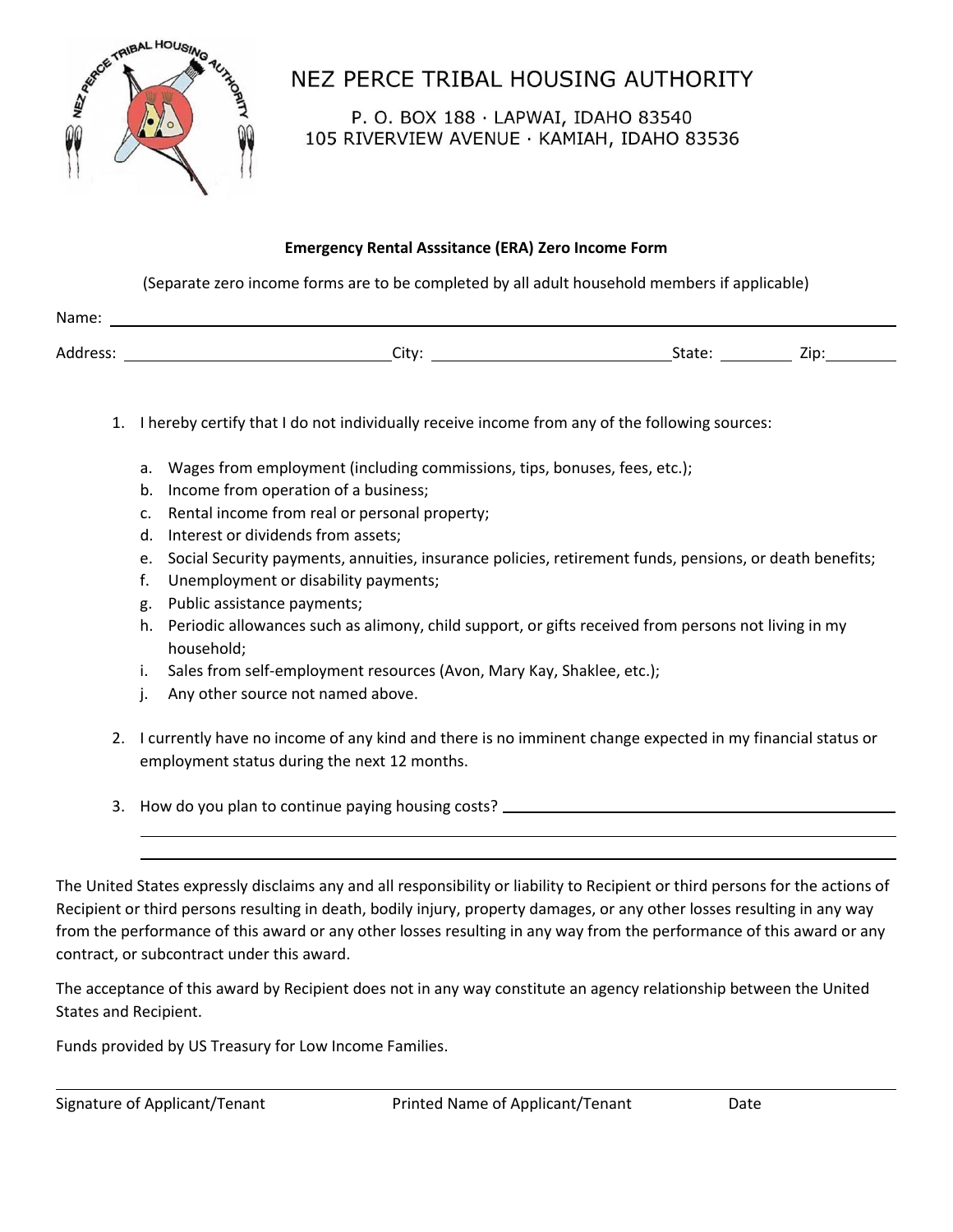

Name:

## NEZ PERCE TRIBAL HOUSING AUTHORITY

P. O. BOX 188 · LAPWAI, IDAHO 83540 105 RIVERVIEW AVENUE · KAMIAH, IDAHO 83536

#### **Emergency Rental Asssitance (ERA) Zero Income Form**

(Separate zero income forms are to be completed by all adult household members if applicable)

| ivalite.    |                     |       |                                             |
|-------------|---------------------|-------|---------------------------------------------|
| Addı<br>--- | <b>∩it</b> w∙<br>ິບ | ----- | $\overline{\phantom{a}}$<br>.<br><b>LIN</b> |
|             |                     |       |                                             |

- 1. I hereby certify that I do not individually receive income from any of the following sources:
	- a. Wages from employment (including commissions, tips, bonuses, fees, etc.);
	- b. Income from operation of a business;
	- c. Rental income from real or personal property;
	- d. Interest or dividends from assets;
	- e. Social Security payments, annuities, insurance policies, retirement funds, pensions, or death benefits;
	- f. Unemployment or disability payments;
	- g. Public assistance payments;
	- h. Periodic allowances such as alimony, child support, or gifts received from persons not living in my household;
	- i. Sales from self-employment resources (Avon, Mary Kay, Shaklee, etc.);
	- j. Any other source not named above.
- 2. I currently have no income of any kind and there is no imminent change expected in my financial status or employment status during the next 12 months.
- 3. How do you plan to continue paying housing costs?

The United States expressly disclaims any and all responsibility or liability to Recipient or third persons for the actions of Recipient or third persons resulting in death, bodily injury, property damages, or any other losses resulting in any way from the performance of this award or any other losses resulting in any way from the performance of this award or any contract, or subcontract under this award.

The acceptance of this award by Recipient does not in any way constitute an agency relationship between the United States and Recipient.

Funds provided by US Treasury for Low Income Families.